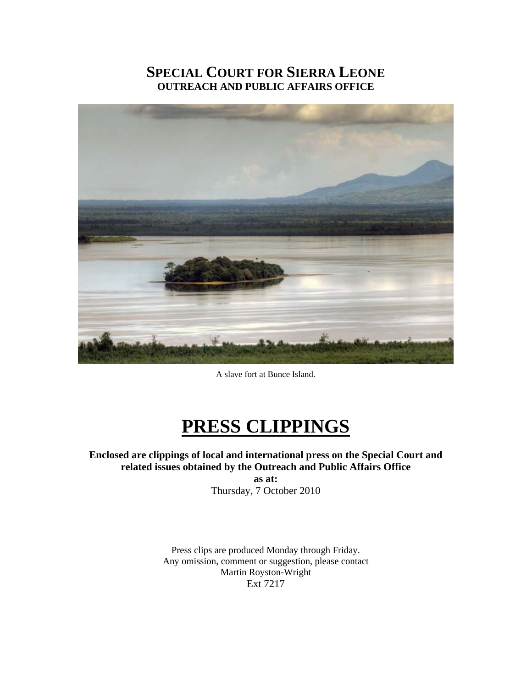# **SPECIAL COURT FOR SIERRA LEONE OUTREACH AND PUBLIC AFFAIRS OFFICE**



A slave fort at Bunce Island.

# **PRESS CLIPPINGS**

**Enclosed are clippings of local and international press on the Special Court and related issues obtained by the Outreach and Public Affairs Office** 

> **as at:**  Thursday, 7 October 2010

Press clips are produced Monday through Friday. Any omission, comment or suggestion, please contact Martin Royston-Wright Ext 7217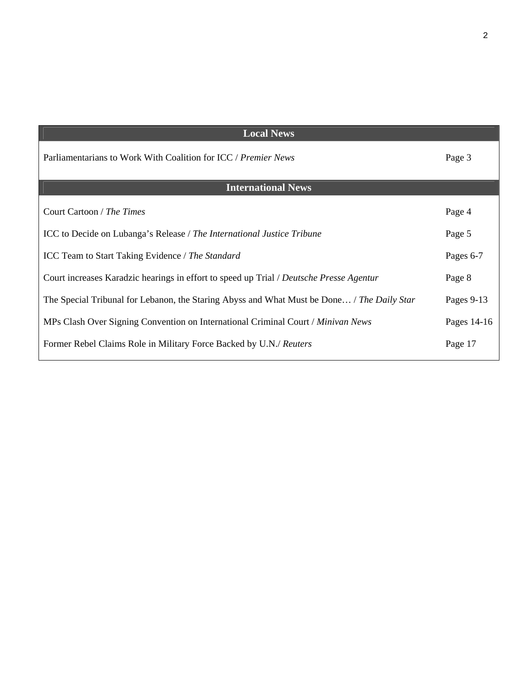| <b>Local News</b>                                                                          |             |
|--------------------------------------------------------------------------------------------|-------------|
| Parliamentarians to Work With Coalition for ICC / Premier News                             | Page 3      |
| <b>International News</b>                                                                  |             |
| Court Cartoon / The Times                                                                  | Page 4      |
| ICC to Decide on Lubanga's Release / The International Justice Tribune                     | Page 5      |
| ICC Team to Start Taking Evidence / The Standard                                           | Pages 6-7   |
| Court increases Karadzic hearings in effort to speed up Trial / Deutsche Presse Agentur    | Page 8      |
| The Special Tribunal for Lebanon, the Staring Abyss and What Must be Done / The Daily Star | Pages 9-13  |
| MPs Clash Over Signing Convention on International Criminal Court / Minivan News           | Pages 14-16 |
| Former Rebel Claims Role in Military Force Backed by U.N./ Reuters                         | Page 17     |
|                                                                                            |             |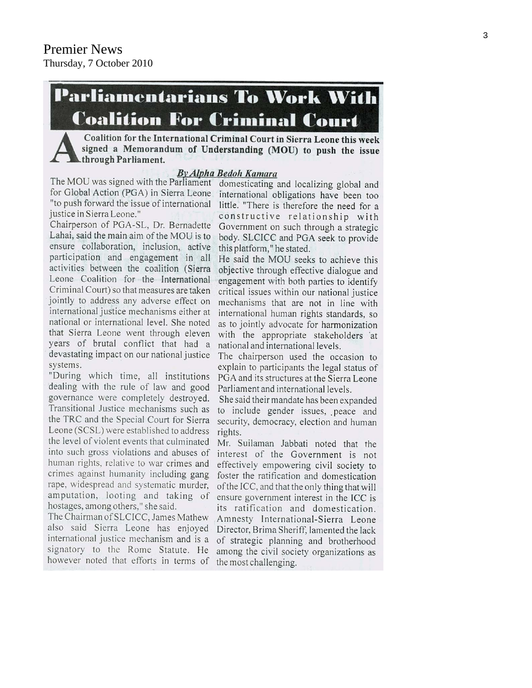# **Parliamentarians To Work With Coalition For Criminal Court**

Coalition for the International Criminal Court in Sierra Leone this week signed a Memorandum of Understanding (MOU) to push the issue through Parliament.

#### **By Alpha Bedoh Kamara**

The MOU was signed with the Parliament for Global Action (PGA) in Sierra Leone "to push forward the issue of international justice in Sierra Leone."

Chairperson of PGA-SL, Dr. Bernadette Lahai, said the main aim of the MOU is to ensure collaboration, inclusion, active participation and engagement in all activities between the coalition (Sierra Leone Coalition for the International Criminal Court) so that measures are taken jointly to address any adverse effect on international justice mechanisms either at national or international level. She noted that Sierra Leone went through eleven years of brutal conflict that had a devastating impact on our national justice systems.

"During which time, all institutions dealing with the rule of law and good governance were completely destroyed. Transitional Justice mechanisms such as the TRC and the Special Court for Sierra Leone (SCSL) were established to address the level of violent events that culminated into such gross violations and abuses of human rights, relative to war crimes and crimes against humanity including gang rape, widespread and systematic murder, amputation, looting and taking of hostages, among others," she said.

The Chairman of SLCICC, James Mathew also said Sierra Leone has enjoyed Director, Brima Sheriff, lamented the lack international justice mechanism and is a of strategic planning and brotherhood signatory to the Rome Statute. He however noted that efforts in terms of the most challenging.

domesticating and localizing global and international obligations have been too little. "There is therefore the need for a constructive relationship with Government on such through a strategic body. SLCICC and PGA seek to provide this platform," he stated.

He said the MOU seeks to achieve this objective through effective dialogue and engagement with both parties to identify critical issues within our national justice mechanisms that are not in line with international human rights standards, so as to jointly advocate for harmonization with the appropriate stakeholders at national and international levels.

The chairperson used the occasion to explain to participants the legal status of PGA and its structures at the Sierra Leone Parliament and international levels.

She said their mandate has been expanded to include gender issues, peace and security, democracy, election and human rights.

Mr. Suilaman Jabbati noted that the interest of the Government is not effectively empowering civil society to foster the ratification and domestication of the ICC, and that the only thing that will ensure government interest in the ICC is its ratification and domestication. Amnesty International-Sierra Leone among the civil society organizations as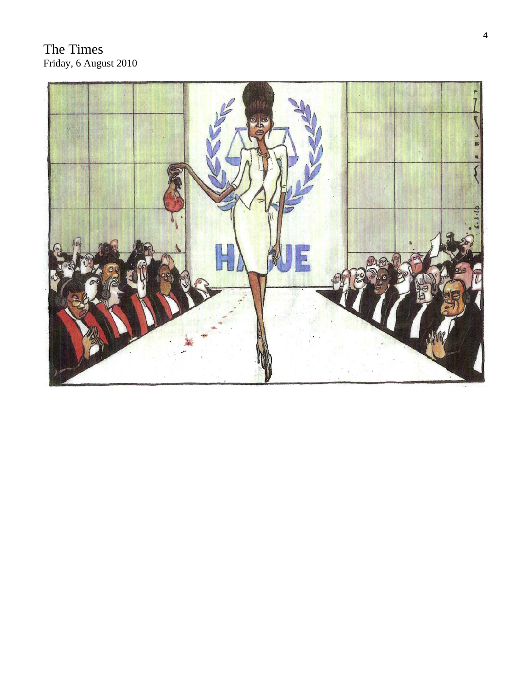# The Times Friday, 6 August 2010

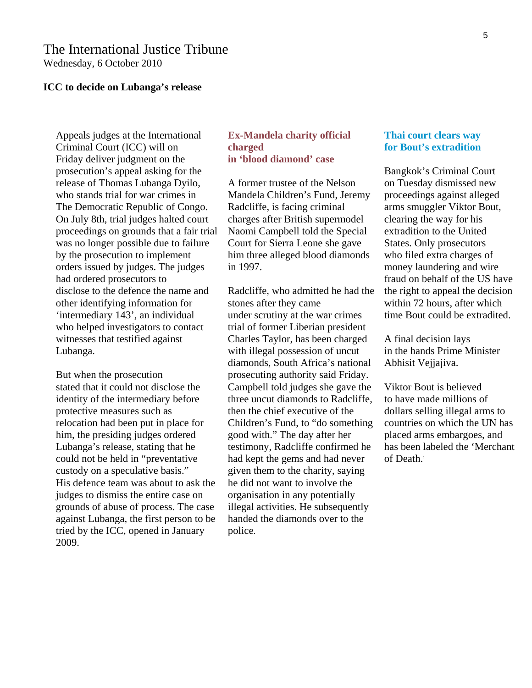# The International Justice Tribune

Wednesday, 6 October 2010

#### **ICC to decide on Lubanga's release**

Appeals judges at the International Criminal Court (ICC) will on Friday deliver judgment on the prosecution's appeal asking for the release of Thomas Lubanga Dyilo, who stands trial for war crimes in The Democratic Republic of Congo. On July 8th, trial judges halted court proceedings on grounds that a fair trial was no longer possible due to failure by the prosecution to implement orders issued by judges. The judges had ordered prosecutors to disclose to the defence the name and other identifying information for 'intermediary 143', an individual who helped investigators to contact witnesses that testified against Lubanga.

But when the prosecution stated that it could not disclose the identity of the intermediary before protective measures such as relocation had been put in place for him, the presiding judges ordered Lubanga's release, stating that he could not be held in "preventative custody on a speculative basis." His defence team was about to ask the judges to dismiss the entire case on grounds of abuse of process. The case against Lubanga, the first person to be tried by the ICC, opened in January 2009.

#### **Ex-Mandela charity official charged in 'blood diamond' case**

A former trustee of the Nelson Mandela Children's Fund, Jeremy Radcliffe, is facing criminal charges after British supermodel Naomi Campbell told the Special Court for Sierra Leone she gave him three alleged blood diamonds in 1997.

Radcliffe, who admitted he had the stones after they came under scrutiny at the war crimes trial of former Liberian president Charles Taylor, has been charged with illegal possession of uncut diamonds, South Africa's national prosecuting authority said Friday. Campbell told judges she gave the three uncut diamonds to Radcliffe, then the chief executive of the Children's Fund, to "do something good with." The day after her testimony, Radcliffe confirmed he had kept the gems and had never given them to the charity, saying he did not want to involve the organisation in any potentially illegal activities. He subsequently handed the diamonds over to the police.

#### **Thai court clears way for Bout's extradition**

Bangkok's Criminal Court on Tuesday dismissed new proceedings against alleged arms smuggler Viktor Bout, clearing the way for his extradition to the United States. Only prosecutors who filed extra charges of money laundering and wire fraud on behalf of the US have the right to appeal the decision within 72 hours, after which time Bout could be extradited.

A final decision lays in the hands Prime Minister Abhisit Vejjajiva.

Viktor Bout is believed to have made millions of dollars selling illegal arms to countries on which the UN has placed arms embargoes, and has been labeled the 'Merchant of Death.'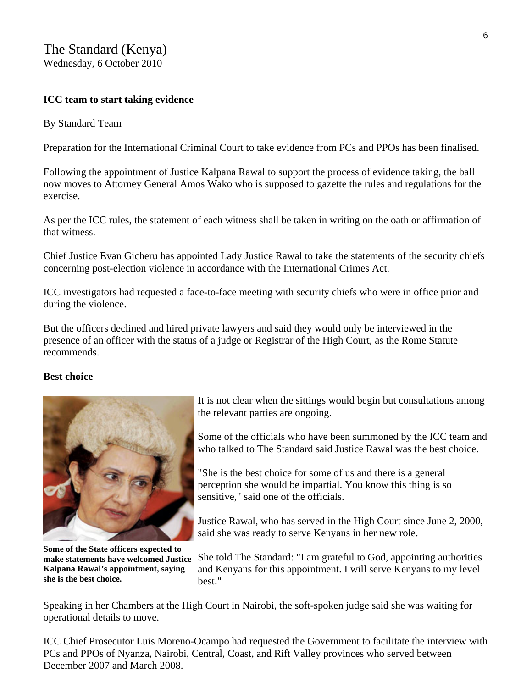# The Standard (Kenya) Wednesday, 6 October 2010

#### **ICC team to start taking evidence**

#### By Standard Team

Preparation for the International Criminal Court to take evidence from PCs and PPOs has been finalised.

Following the appointment of Justice Kalpana Rawal to support the process of evidence taking, the ball now moves to Attorney General Amos Wako who is supposed to gazette the rules and regulations for the exercise.

As per the ICC rules, the statement of each witness shall be taken in writing on the oath or affirmation of that witness.

Chief Justice Evan Gicheru has appointed Lady Justice Rawal to take the statements of the security chiefs concerning post-election violence in accordance with the International Crimes Act.

ICC investigators had requested a face-to-face meeting with security chiefs who were in office prior and during the violence.

But the officers declined and hired private lawyers and said they would only be interviewed in the presence of an officer with the status of a judge or Registrar of the High Court, as the Rome Statute recommends.

#### **Best choice**



**Some of the State officers expected to make statements have welcomed Justice Kalpana Rawal's appointment, saying she is the best choice.**

It is not clear when the sittings would begin but consultations among the relevant parties are ongoing.

Some of the officials who have been summoned by the ICC team and who talked to The Standard said Justice Rawal was the best choice.

"She is the best choice for some of us and there is a general perception she would be impartial. You know this thing is so sensitive," said one of the officials.

Justice Rawal, who has served in the High Court since June 2, 2000, said she was ready to serve Kenyans in her new role.

She told The Standard: "I am grateful to God, appointing authorities and Kenyans for this appointment. I will serve Kenyans to my level hest."

Speaking in her Chambers at the High Court in Nairobi, the soft-spoken judge said she was waiting for operational details to move.

ICC Chief Prosecutor Luis Moreno-Ocampo had requested the Government to facilitate the interview with PCs and PPOs of Nyanza, Nairobi, Central, Coast, and Rift Valley provinces who served between December 2007 and March 2008.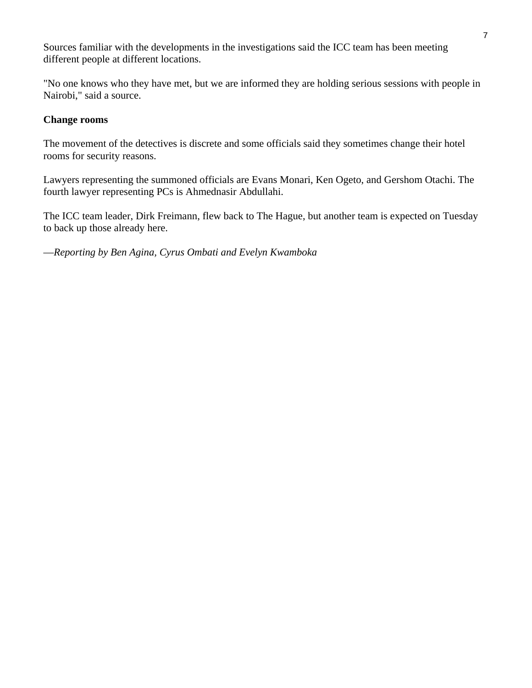Sources familiar with the developments in the investigations said the ICC team has been meeting different people at different locations.

"No one knows who they have met, but we are informed they are holding serious sessions with people in Nairobi," said a source.

#### **Change rooms**

The movement of the detectives is discrete and some officials said they sometimes change their hotel rooms for security reasons.

Lawyers representing the summoned officials are Evans Monari, Ken Ogeto, and Gershom Otachi. The fourth lawyer representing PCs is Ahmednasir Abdullahi.

The ICC team leader, Dirk Freimann, flew back to The Hague, but another team is expected on Tuesday to back up those already here.

—*Reporting by Ben Agina, Cyrus Ombati and Evelyn Kwamboka*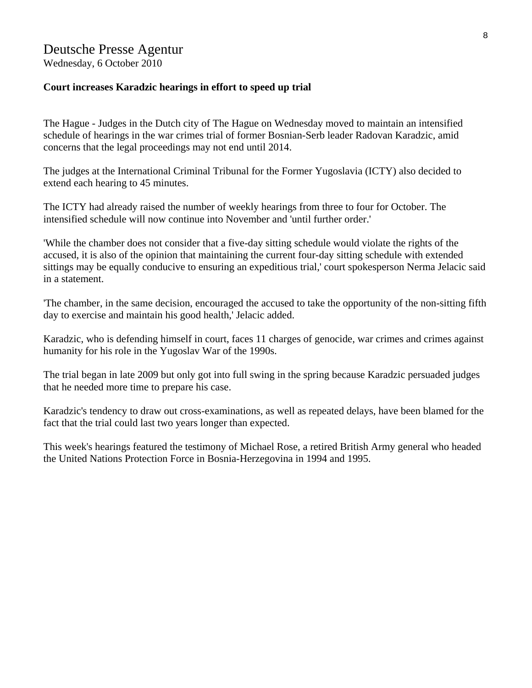# Deutsche Presse Agentur

Wednesday, 6 October 2010

#### **Court increases Karadzic hearings in effort to speed up trial**

The Hague - Judges in the Dutch city of The Hague on Wednesday moved to maintain an intensified schedule of hearings in the war crimes trial of former Bosnian-Serb leader Radovan Karadzic, amid concerns that the legal proceedings may not end until 2014.

The judges at the International Criminal Tribunal for the Former Yugoslavia (ICTY) also decided to extend each hearing to 45 minutes.

The ICTY had already raised the number of weekly hearings from three to four for October. The intensified schedule will now continue into November and 'until further order.'

'While the chamber does not consider that a five-day sitting schedule would violate the rights of the accused, it is also of the opinion that maintaining the current four-day sitting schedule with extended sittings may be equally conducive to ensuring an expeditious trial,' court spokesperson Nerma Jelacic said in a statement.

'The chamber, in the same decision, encouraged the accused to take the opportunity of the non-sitting fifth day to exercise and maintain his good health,' Jelacic added.

Karadzic, who is defending himself in court, faces 11 charges of genocide, war crimes and crimes against humanity for his role in the Yugoslav War of the 1990s.

The trial began in late 2009 but only got into full swing in the spring because Karadzic persuaded judges that he needed more time to prepare his case.

Karadzic's tendency to draw out cross-examinations, as well as repeated delays, have been blamed for the fact that the trial could last two years longer than expected.

This week's hearings featured the testimony of Michael Rose, a retired British Army general who headed the United Nations Protection Force in Bosnia-Herzegovina in 1994 and 1995.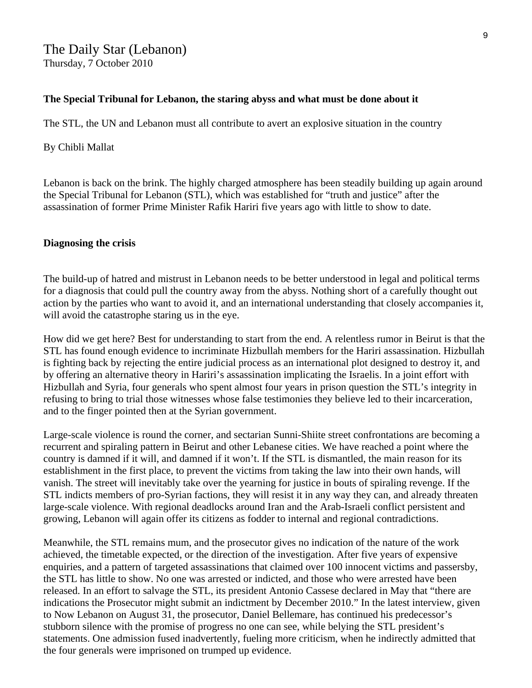The Daily Star (Lebanon) Thursday, 7 October 2010

#### **The Special Tribunal for Lebanon, the staring abyss and what must be done about it**

The STL, the UN and Lebanon must all contribute to avert an explosive situation in the country

#### By Chibli Mallat

Lebanon is back on the brink. The highly charged atmosphere has been steadily building up again around the Special Tribunal for Lebanon (STL), which was established for "truth and justice" after the assassination of former Prime Minister Rafik Hariri five years ago with little to show to date.

#### **Diagnosing the crisis**

The build-up of hatred and mistrust in Lebanon needs to be better understood in legal and political terms for a diagnosis that could pull the country away from the abyss. Nothing short of a carefully thought out action by the parties who want to avoid it, and an international understanding that closely accompanies it, will avoid the catastrophe staring us in the eye.

How did we get here? Best for understanding to start from the end. A relentless rumor in Beirut is that the STL has found enough evidence to incriminate Hizbullah members for the Hariri assassination. Hizbullah is fighting back by rejecting the entire judicial process as an international plot designed to destroy it, and by offering an alternative theory in Hariri's assassination implicating the Israelis. In a joint effort with Hizbullah and Syria, four generals who spent almost four years in prison question the STL's integrity in refusing to bring to trial those witnesses whose false testimonies they believe led to their incarceration, and to the finger pointed then at the Syrian government.

Large-scale violence is round the corner, and sectarian Sunni-Shiite street confrontations are becoming a recurrent and spiraling pattern in Beirut and other Lebanese cities. We have reached a point where the country is damned if it will, and damned if it won't. If the STL is dismantled, the main reason for its establishment in the first place, to prevent the victims from taking the law into their own hands, will vanish. The street will inevitably take over the yearning for justice in bouts of spiraling revenge. If the STL indicts members of pro-Syrian factions, they will resist it in any way they can, and already threaten large-scale violence. With regional deadlocks around Iran and the Arab-Israeli conflict persistent and growing, Lebanon will again offer its citizens as fodder to internal and regional contradictions.

Meanwhile, the STL remains mum, and the prosecutor gives no indication of the nature of the work achieved, the timetable expected, or the direction of the investigation. After five years of expensive enquiries, and a pattern of targeted assassinations that claimed over 100 innocent victims and passersby, the STL has little to show. No one was arrested or indicted, and those who were arrested have been released. In an effort to salvage the STL, its president Antonio Cassese declared in May that "there are indications the Prosecutor might submit an indictment by December 2010." In the latest interview, given to Now Lebanon on August 31, the prosecutor, Daniel Bellemare, has continued his predecessor's stubborn silence with the promise of progress no one can see, while belying the STL president's statements. One admission fused inadvertently, fueling more criticism, when he indirectly admitted that the four generals were imprisoned on trumped up evidence.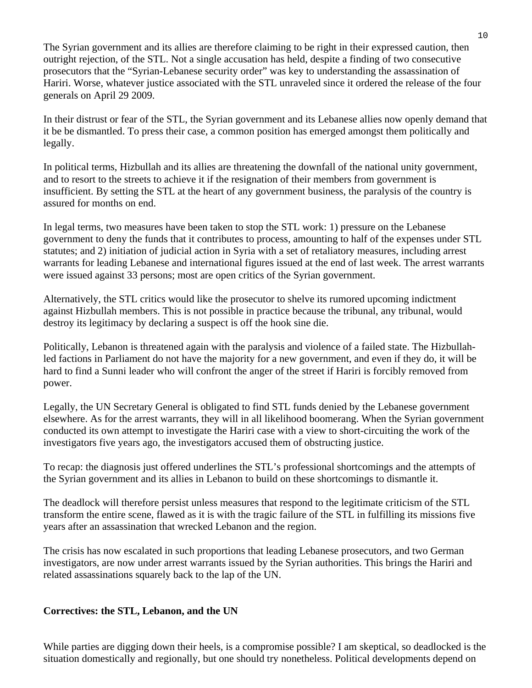The Syrian government and its allies are therefore claiming to be right in their expressed caution, then outright rejection, of the STL. Not a single accusation has held, despite a finding of two consecutive prosecutors that the "Syrian-Lebanese security order" was key to understanding the assassination of Hariri. Worse, whatever justice associated with the STL unraveled since it ordered the release of the four generals on April 29 2009.

In their distrust or fear of the STL, the Syrian government and its Lebanese allies now openly demand that it be be dismantled. To press their case, a common position has emerged amongst them politically and legally.

In political terms, Hizbullah and its allies are threatening the downfall of the national unity government, and to resort to the streets to achieve it if the resignation of their members from government is insufficient. By setting the STL at the heart of any government business, the paralysis of the country is assured for months on end.

In legal terms, two measures have been taken to stop the STL work: 1) pressure on the Lebanese government to deny the funds that it contributes to process, amounting to half of the expenses under STL statutes; and 2) initiation of judicial action in Syria with a set of retaliatory measures, including arrest warrants for leading Lebanese and international figures issued at the end of last week. The arrest warrants were issued against 33 persons; most are open critics of the Syrian government.

Alternatively, the STL critics would like the prosecutor to shelve its rumored upcoming indictment against Hizbullah members. This is not possible in practice because the tribunal, any tribunal, would destroy its legitimacy by declaring a suspect is off the hook sine die.

Politically, Lebanon is threatened again with the paralysis and violence of a failed state. The Hizbullahled factions in Parliament do not have the majority for a new government, and even if they do, it will be hard to find a Sunni leader who will confront the anger of the street if Hariri is forcibly removed from power.

Legally, the UN Secretary General is obligated to find STL funds denied by the Lebanese government elsewhere. As for the arrest warrants, they will in all likelihood boomerang. When the Syrian government conducted its own attempt to investigate the Hariri case with a view to short-circuiting the work of the investigators five years ago, the investigators accused them of obstructing justice.

To recap: the diagnosis just offered underlines the STL's professional shortcomings and the attempts of the Syrian government and its allies in Lebanon to build on these shortcomings to dismantle it.

The deadlock will therefore persist unless measures that respond to the legitimate criticism of the STL transform the entire scene, flawed as it is with the tragic failure of the STL in fulfilling its missions five years after an assassination that wrecked Lebanon and the region.

The crisis has now escalated in such proportions that leading Lebanese prosecutors, and two German investigators, are now under arrest warrants issued by the Syrian authorities. This brings the Hariri and related assassinations squarely back to the lap of the UN.

## **Correctives: the STL, Lebanon, and the UN**

While parties are digging down their heels, is a compromise possible? I am skeptical, so deadlocked is the situation domestically and regionally, but one should try nonetheless. Political developments depend on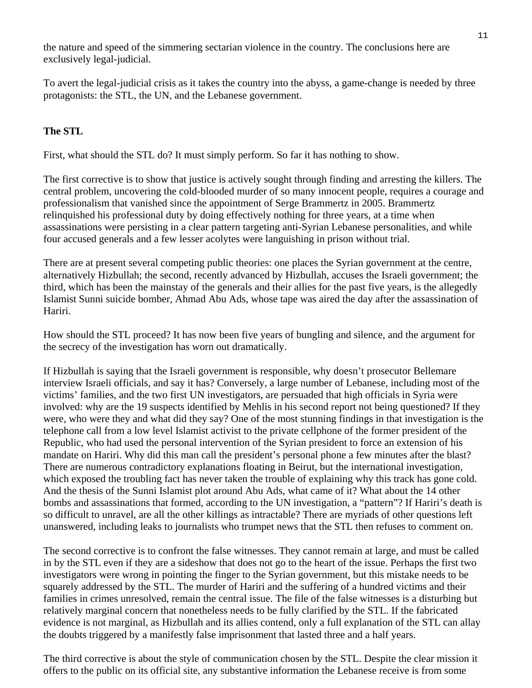the nature and speed of the simmering sectarian violence in the country. The conclusions here are exclusively legal-judicial.

To avert the legal-judicial crisis as it takes the country into the abyss, a game-change is needed by three protagonists: the STL, the UN, and the Lebanese government.

# **The STL**

First, what should the STL do? It must simply perform. So far it has nothing to show.

The first corrective is to show that justice is actively sought through finding and arresting the killers. The central problem, uncovering the cold-blooded murder of so many innocent people, requires a courage and professionalism that vanished since the appointment of Serge Brammertz in 2005. Brammertz relinquished his professional duty by doing effectively nothing for three years, at a time when assassinations were persisting in a clear pattern targeting anti-Syrian Lebanese personalities, and while four accused generals and a few lesser acolytes were languishing in prison without trial.

There are at present several competing public theories: one places the Syrian government at the centre, alternatively Hizbullah; the second, recently advanced by Hizbullah, accuses the Israeli government; the third, which has been the mainstay of the generals and their allies for the past five years, is the allegedly Islamist Sunni suicide bomber, Ahmad Abu Ads, whose tape was aired the day after the assassination of Hariri.

How should the STL proceed? It has now been five years of bungling and silence, and the argument for the secrecy of the investigation has worn out dramatically.

If Hizbullah is saying that the Israeli government is responsible, why doesn't prosecutor Bellemare interview Israeli officials, and say it has? Conversely, a large number of Lebanese, including most of the victims' families, and the two first UN investigators, are persuaded that high officials in Syria were involved: why are the 19 suspects identified by Mehlis in his second report not being questioned? If they were, who were they and what did they say? One of the most stunning findings in that investigation is the telephone call from a low level Islamist activist to the private cellphone of the former president of the Republic, who had used the personal intervention of the Syrian president to force an extension of his mandate on Hariri. Why did this man call the president's personal phone a few minutes after the blast? There are numerous contradictory explanations floating in Beirut, but the international investigation, which exposed the troubling fact has never taken the trouble of explaining why this track has gone cold. And the thesis of the Sunni Islamist plot around Abu Ads, what came of it? What about the 14 other bombs and assassinations that formed, according to the UN investigation, a "pattern"? If Hariri's death is so difficult to unravel, are all the other killings as intractable? There are myriads of other questions left unanswered, including leaks to journalists who trumpet news that the STL then refuses to comment on.

The second corrective is to confront the false witnesses. They cannot remain at large, and must be called in by the STL even if they are a sideshow that does not go to the heart of the issue. Perhaps the first two investigators were wrong in pointing the finger to the Syrian government, but this mistake needs to be squarely addressed by the STL. The murder of Hariri and the suffering of a hundred victims and their families in crimes unresolved, remain the central issue. The file of the false witnesses is a disturbing but relatively marginal concern that nonetheless needs to be fully clarified by the STL. If the fabricated evidence is not marginal, as Hizbullah and its allies contend, only a full explanation of the STL can allay the doubts triggered by a manifestly false imprisonment that lasted three and a half years.

The third corrective is about the style of communication chosen by the STL. Despite the clear mission it offers to the public on its official site, any substantive information the Lebanese receive is from some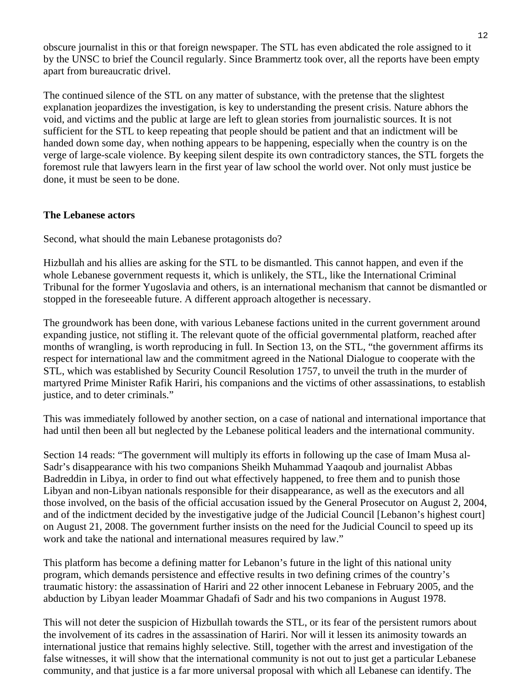obscure journalist in this or that foreign newspaper. The STL has even abdicated the role assigned to it by the UNSC to brief the Council regularly. Since Brammertz took over, all the reports have been empty apart from bureaucratic drivel.

The continued silence of the STL on any matter of substance, with the pretense that the slightest explanation jeopardizes the investigation, is key to understanding the present crisis. Nature abhors the void, and victims and the public at large are left to glean stories from journalistic sources. It is not sufficient for the STL to keep repeating that people should be patient and that an indictment will be handed down some day, when nothing appears to be happening, especially when the country is on the verge of large-scale violence. By keeping silent despite its own contradictory stances, the STL forgets the foremost rule that lawyers learn in the first year of law school the world over. Not only must justice be done, it must be seen to be done.

## **The Lebanese actors**

Second, what should the main Lebanese protagonists do?

Hizbullah and his allies are asking for the STL to be dismantled. This cannot happen, and even if the whole Lebanese government requests it, which is unlikely, the STL, like the International Criminal Tribunal for the former Yugoslavia and others, is an international mechanism that cannot be dismantled or stopped in the foreseeable future. A different approach altogether is necessary.

The groundwork has been done, with various Lebanese factions united in the current government around expanding justice, not stifling it. The relevant quote of the official governmental platform, reached after months of wrangling, is worth reproducing in full. In Section 13, on the STL, "the government affirms its respect for international law and the commitment agreed in the National Dialogue to cooperate with the STL, which was established by Security Council Resolution 1757, to unveil the truth in the murder of martyred Prime Minister Rafik Hariri, his companions and the victims of other assassinations, to establish justice, and to deter criminals."

This was immediately followed by another section, on a case of national and international importance that had until then been all but neglected by the Lebanese political leaders and the international community.

Section 14 reads: "The government will multiply its efforts in following up the case of Imam Musa al-Sadr's disappearance with his two companions Sheikh Muhammad Yaaqoub and journalist Abbas Badreddin in Libya, in order to find out what effectively happened, to free them and to punish those Libyan and non-Libyan nationals responsible for their disappearance, as well as the executors and all those involved, on the basis of the official accusation issued by the General Prosecutor on August 2, 2004, and of the indictment decided by the investigative judge of the Judicial Council [Lebanon's highest court] on August 21, 2008. The government further insists on the need for the Judicial Council to speed up its work and take the national and international measures required by law."

This platform has become a defining matter for Lebanon's future in the light of this national unity program, which demands persistence and effective results in two defining crimes of the country's traumatic history: the assassination of Hariri and 22 other innocent Lebanese in February 2005, and the abduction by Libyan leader Moammar Ghadafi of Sadr and his two companions in August 1978.

This will not deter the suspicion of Hizbullah towards the STL, or its fear of the persistent rumors about the involvement of its cadres in the assassination of Hariri. Nor will it lessen its animosity towards an international justice that remains highly selective. Still, together with the arrest and investigation of the false witnesses, it will show that the international community is not out to just get a particular Lebanese community, and that justice is a far more universal proposal with which all Lebanese can identify. The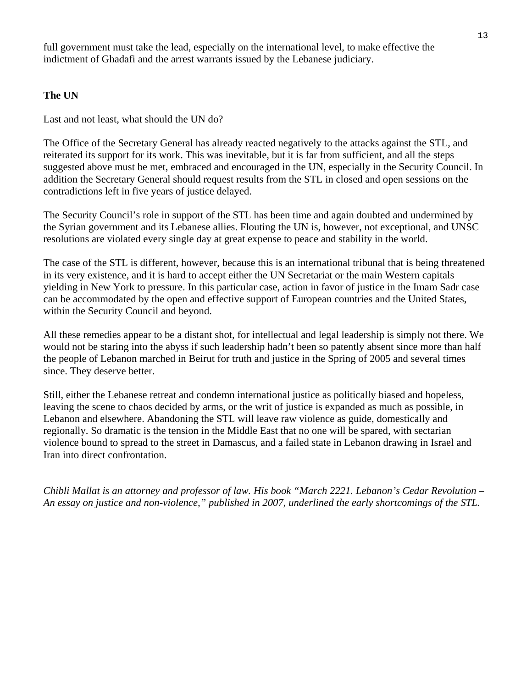full government must take the lead, especially on the international level, to make effective the indictment of Ghadafi and the arrest warrants issued by the Lebanese judiciary.

# **The UN**

Last and not least, what should the UN do?

The Office of the Secretary General has already reacted negatively to the attacks against the STL, and reiterated its support for its work. This was inevitable, but it is far from sufficient, and all the steps suggested above must be met, embraced and encouraged in the UN, especially in the Security Council. In addition the Secretary General should request results from the STL in closed and open sessions on the contradictions left in five years of justice delayed.

The Security Council's role in support of the STL has been time and again doubted and undermined by the Syrian government and its Lebanese allies. Flouting the UN is, however, not exceptional, and UNSC resolutions are violated every single day at great expense to peace and stability in the world.

The case of the STL is different, however, because this is an international tribunal that is being threatened in its very existence, and it is hard to accept either the UN Secretariat or the main Western capitals yielding in New York to pressure. In this particular case, action in favor of justice in the Imam Sadr case can be accommodated by the open and effective support of European countries and the United States, within the Security Council and beyond.

All these remedies appear to be a distant shot, for intellectual and legal leadership is simply not there. We would not be staring into the abyss if such leadership hadn't been so patently absent since more than half the people of Lebanon marched in Beirut for truth and justice in the Spring of 2005 and several times since. They deserve better.

Still, either the Lebanese retreat and condemn international justice as politically biased and hopeless, leaving the scene to chaos decided by arms, or the writ of justice is expanded as much as possible, in Lebanon and elsewhere. Abandoning the STL will leave raw violence as guide, domestically and regionally. So dramatic is the tension in the Middle East that no one will be spared, with sectarian violence bound to spread to the street in Damascus, and a failed state in Lebanon drawing in Israel and Iran into direct confrontation.

*Chibli Mallat is an attorney and professor of law. His book "March 2221. Lebanon's Cedar Revolution – An essay on justice and non-violence," published in 2007, underlined the early shortcomings of the STL.*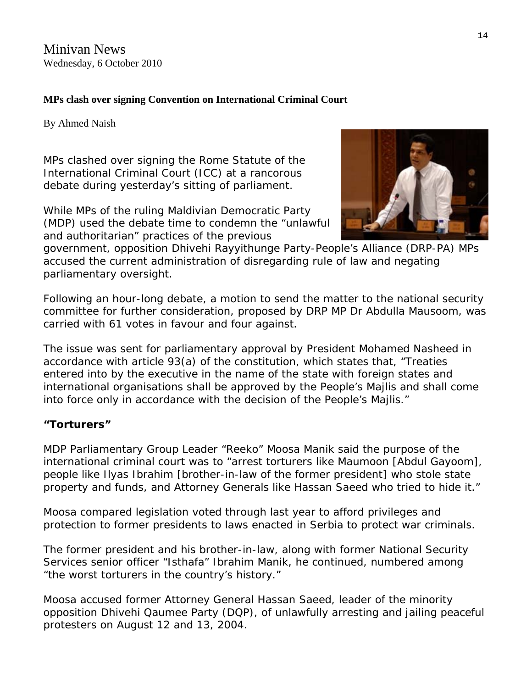Minivan News Wednesday, 6 October 2010

# **MPs clash over signing Convention on International Criminal Court**

By [Ahmed Naish](http://minivannews.com/author/ahmed-naish/)

MPs clashed over signing the [Rome Statute of the](http://untreaty.un.org/cod/icc/statute/romefra.htm)  [International Criminal Court](http://untreaty.un.org/cod/icc/statute/romefra.htm) (ICC) at a rancorous debate during yesterday's sitting of parliament.

While MPs of the ruling Maldivian Democratic Party (MDP) used the debate time to condemn the "unlawful and authoritarian" practices of the previous

government, opposition Dhivehi Rayyithunge Party-People's Alliance (DRP-PA) MPs accused the current administration of disregarding rule of law and negating parliamentary oversight.

Following an hour-long [debate,](http://www.majlis.gov.mv/di/download/minutes_of_meetings/majlis%20jalsa%2005.10.2010%20%2802%20vana%29.pdf) a motion to send the matter to the national security committee for further consideration, proposed by DRP MP Dr Abdulla Mausoom, was carried with 61 votes in favour and four against.

The issue was sent for parliamentary approval by President Mohamed Nasheed in accordance with article 93(a) of the constitution, which states that, "Treaties entered into by the executive in the name of the state with foreign states and international organisations shall be approved by the People's Majlis and shall come into force only in accordance with the decision of the People's Majlis."

# **"Torturers"**

MDP Parliamentary Group Leader "Reeko" Moosa Manik said the purpose of the international criminal court was to "arrest torturers like Maumoon [Abdul Gayoom], people like Ilyas Ibrahim [brother-in-law of the former president] who stole state property and funds, and Attorney Generals like Hassan Saeed who tried to hide it."

Moosa compared legislation voted through last year to afford privileges and protection to former presidents to laws enacted in Serbia to protect war criminals.

The former president and his brother-in-law, along with former National Security Services senior officer "Isthafa" Ibrahim Manik, he continued, numbered among "the worst torturers in the country's history."

Moosa accused former Attorney General Hassan Saeed, leader of the minority opposition Dhivehi Qaumee Party (DQP), of unlawfully arresting and jailing peaceful protesters on August 12 and 13, 2004.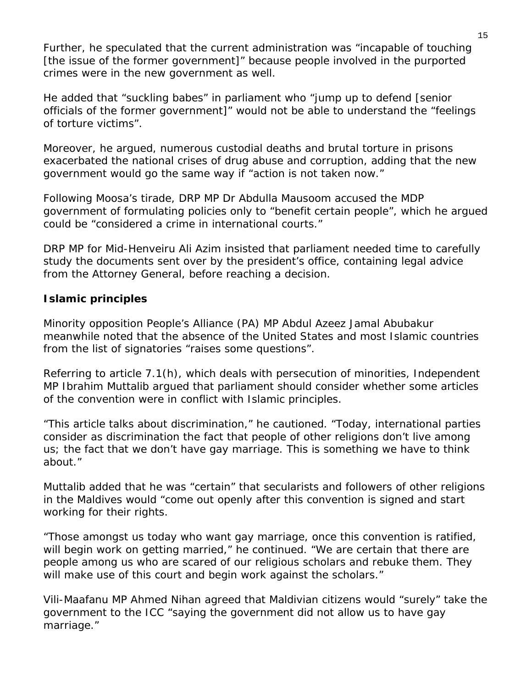Further, he speculated that the current administration was "incapable of touching [the issue of the former government]" because people involved in the purported crimes were in the new government as well.

He added that "suckling babes" in parliament who "jump up to defend [senior officials of the former government]" would not be able to understand the "feelings of torture victims".

Moreover, he argued, numerous custodial deaths and brutal torture in prisons exacerbated the national crises of drug abuse and corruption, adding that the new government would go the same way if "action is not taken now."

Following Moosa's tirade, DRP MP Dr Abdulla Mausoom accused the MDP government of formulating policies only to "benefit certain people", which he argued could be "considered a crime in international courts."

DRP MP for Mid-Henveiru Ali Azim insisted that parliament needed time to carefully study the documents sent over by the president's office, containing legal advice from the Attorney General, before reaching a decision.

# **Islamic principles**

Minority opposition People's Alliance (PA) MP Abdul Azeez Jamal Abubakur meanwhile noted that the absence of the United States and most Islamic countries from the list of signatories "raises some questions".

Referring to article 7.1(h), which deals with persecution of minorities, Independent MP Ibrahim Muttalib argued that parliament should consider whether some articles of the convention were in conflict with Islamic principles.

"This article talks about discrimination," he cautioned. "Today, international parties consider as discrimination the fact that people of other religions don't live among us; the fact that we don't have gay marriage. This is something we have to think about."

Muttalib added that he was "certain" that secularists and followers of other religions in the Maldives would "come out openly after this convention is signed and start working for their rights.

"Those amongst us today who want gay marriage, once this convention is ratified, will begin work on getting married," he continued. "We are certain that there are people among us who are scared of our religious scholars and rebuke them. They will make use of this court and begin work against the scholars."

Vili-Maafanu MP Ahmed Nihan agreed that Maldivian citizens would "surely" take the government to the ICC "saying the government did not allow us to have gay marriage."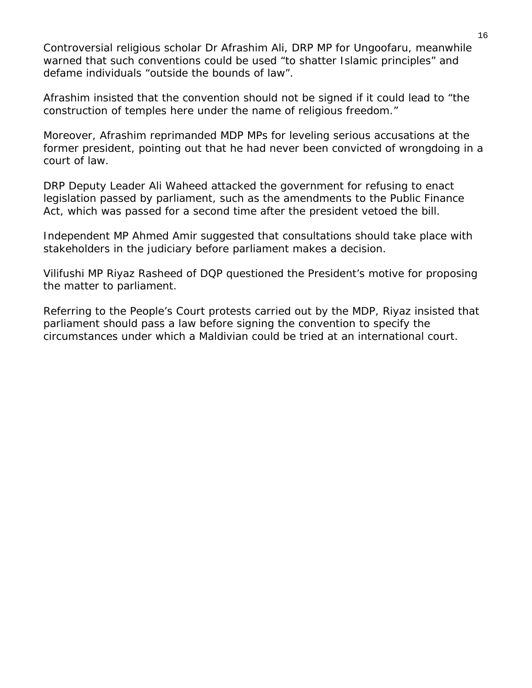Controversial religious scholar Dr Afrashim Ali, DRP MP for Ungoofaru, meanwhile warned that such conventions could be used "to shatter Islamic principles" and defame individuals "outside the bounds of law".

Afrashim insisted that the convention should not be signed if it could lead to "the construction of temples here under the name of religious freedom."

Moreover, Afrashim reprimanded MDP MPs for leveling serious accusations at the former president, pointing out that he had never been convicted of wrongdoing in a court of law.

DRP Deputy Leader Ali Waheed attacked the government for refusing to enact legislation passed by parliament, such as the amendments to the Public Finance Act, which was passed for a second time after the president vetoed the bill.

Independent MP Ahmed Amir suggested that consultations should take place with stakeholders in the judiciary before parliament makes a decision.

Vilifushi MP Riyaz Rasheed of DQP questioned the President's motive for proposing the matter to parliament.

Referring to the People's Court protests carried out by the MDP, Riyaz insisted that parliament should pass a law before signing the convention to specify the circumstances under which a Maldivian could be tried at an international court.